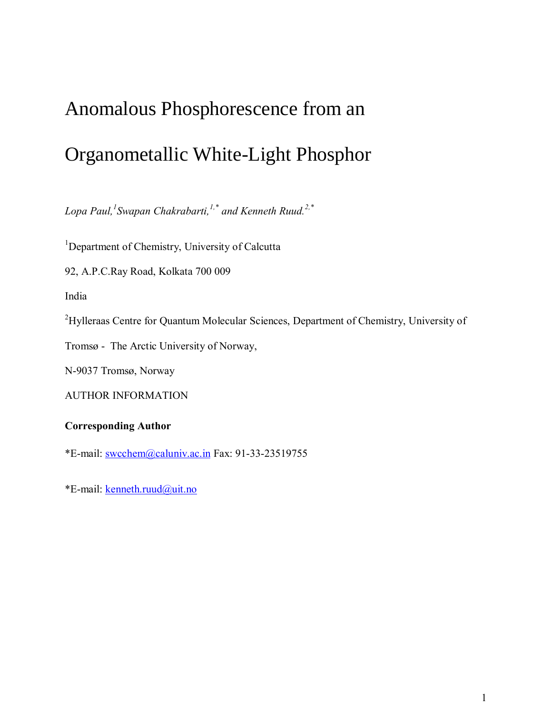# Anomalous Phosphorescence from an

# Organometallic White-Light Phosphor

*Lopa Paul,<sup>1</sup> Swapan Chakrabarti,1,\* and Kenneth Ruud.2,\**

<sup>1</sup>Department of Chemistry, University of Calcutta

92, A.P.C.Ray Road, Kolkata 700 009

India

<sup>2</sup>Hylleraas Centre for Quantum Molecular Sciences, Department of Chemistry, University of

Tromsø - The Arctic University of Norway,

N-9037 Tromsø, Norway

AUTHOR INFORMATION

## **Corresponding Author**

\*E-mail: [swcchem@caluniv.ac.in](mailto:swcchem@caluniv.ac.in) Fax: 91-33-23519755

\*E-mail: [kenneth.ruud@uit.no](mailto:kenneth.ruud@uit.no)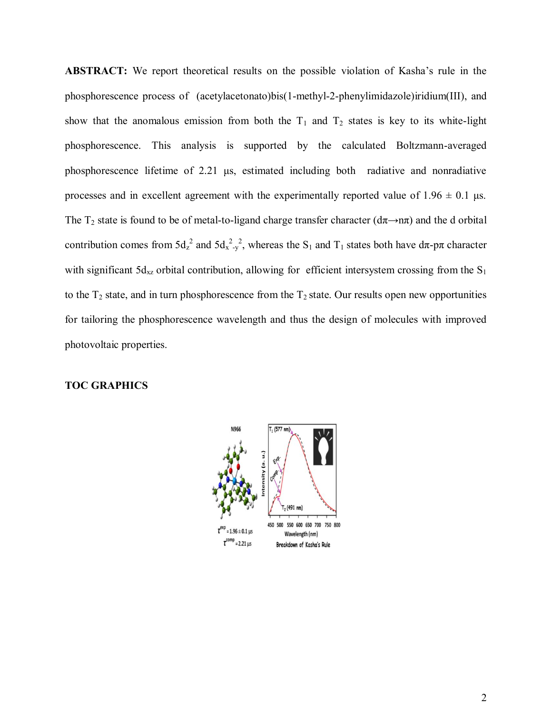**ABSTRACT:** We report theoretical results on the possible violation of Kasha's rule in the phosphorescence process of (acetylacetonato)bis(1-methyl-2-phenylimidazole)iridium(III), and show that the anomalous emission from both the  $T_1$  and  $T_2$  states is key to its white-light phosphorescence. This analysis is supported by the calculated Boltzmann-averaged phosphorescence lifetime of 2.21 μs, estimated including both radiative and nonradiative processes and in excellent agreement with the experimentally reported value of  $1.96 \pm 0.1$  μs. The T<sub>2</sub> state is found to be of metal-to-ligand charge transfer character ( $d\pi \rightarrow n\pi$ ) and the d orbital contribution comes from  $5d_z^2$  and  $5d_x^2(y^2)$ , whereas the S<sub>1</sub> and T<sub>1</sub> states both have  $d\pi$ -p $\pi$  character with significant  $5d_{xz}$  orbital contribution, allowing for efficient intersystem crossing from the  $S_1$ to the  $T_2$  state, and in turn phosphorescence from the  $T_2$  state. Our results open new opportunities for tailoring the phosphorescence wavelength and thus the design of molecules with improved photovoltaic properties.

### **TOC GRAPHICS**

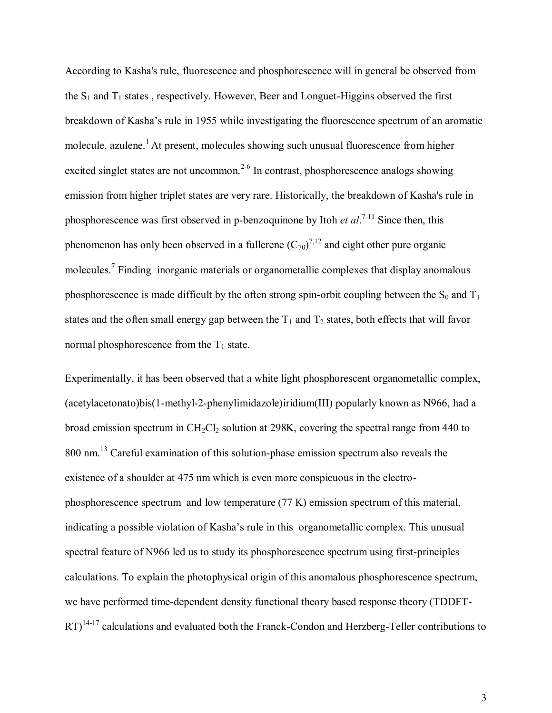According to Kasha's rule, fluorescence and phosphorescence will in general be observed from the  $S_1$  and  $T_1$  states, respectively. However, Beer and Longuet-Higgins observed the first breakdown of Kasha's rule in 1955 while investigating the fluorescence spectrum of an aromatic molecule, azulene.<sup>1</sup> At present, molecules showing such unusual fluorescence from higher excited singlet states are not uncommon.<sup>2-6</sup> In contrast, phosphorescence analogs showing emission from higher triplet states are very rare. Historically, the breakdown of Kasha's rule in phosphorescence was first observed in p-benzoquinone by Itoh *et al*. 7-11 Since then, this phenomenon has only been observed in a fullerene  $(C_{70})^{7,12}$  and eight other pure organic molecules.<sup>7</sup> Finding inorganic materials or organometallic complexes that display anomalous phosphorescence is made difficult by the often strong spin-orbit coupling between the  $S_0$  and  $T_1$ states and the often small energy gap between the  $T_1$  and  $T_2$  states, both effects that will favor normal phosphorescence from the  $T_1$  state.

Experimentally, it has been observed that a white light phosphorescent organometallic complex, (acetylacetonato)bis(1-methyl-2-phenylimidazole)iridium(III) popularly known as N966, had a broad emission spectrum in  $CH_2Cl_2$  solution at 298K, covering the spectral range from 440 to 800 nm.<sup>13</sup> Careful examination of this solution-phase emission spectrum also reveals the existence of a shoulder at 475 nm which is even more conspicuous in the electrophosphorescence spectrum and low temperature (77 K) emission spectrum of this material, indicating a possible violation of Kasha's rule in this organometallic complex. This unusual spectral feature of N966 led us to study its phosphorescence spectrum using first-principles calculations. To explain the photophysical origin of this anomalous phosphorescence spectrum, we have performed time-dependent density functional theory based response theory (TDDFT- $RT$ <sup>14-17</sup> calculations and evaluated both the Franck-Condon and Herzberg-Teller contributions to

3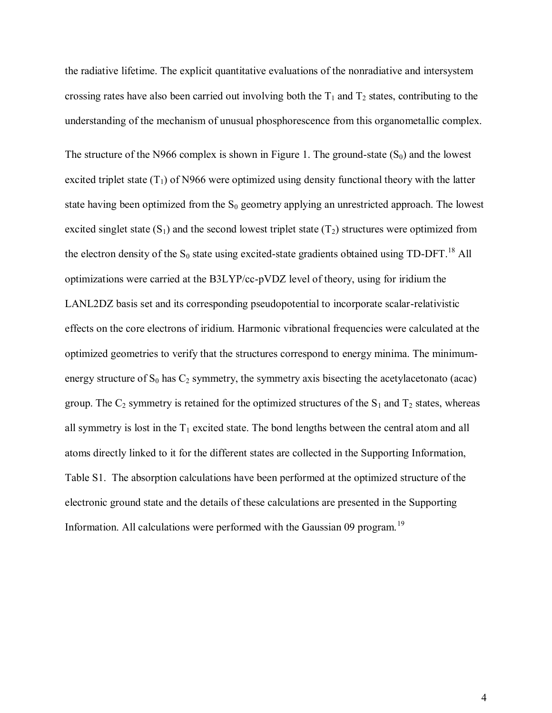the radiative lifetime. The explicit quantitative evaluations of the nonradiative and intersystem crossing rates have also been carried out involving both the  $T_1$  and  $T_2$  states, contributing to the understanding of the mechanism of unusual phosphorescence from this organometallic complex.

The structure of the N966 complex is shown in Figure 1. The ground-state  $(S_0)$  and the lowest excited triplet state  $(T_1)$  of N966 were optimized using density functional theory with the latter state having been optimized from the  $S_0$  geometry applying an unrestricted approach. The lowest excited singlet state  $(S_1)$  and the second lowest triplet state  $(T_2)$  structures were optimized from the electron density of the  $S_0$  state using excited-state gradients obtained using TD-DFT.<sup>18</sup> All optimizations were carried at the B3LYP/cc-pVDZ level of theory, using for iridium the LANL2DZ basis set and its corresponding pseudopotential to incorporate scalar-relativistic effects on the core electrons of iridium. Harmonic vibrational frequencies were calculated at the optimized geometries to verify that the structures correspond to energy minima. The minimumenergy structure of  $S_0$  has  $C_2$  symmetry, the symmetry axis bisecting the acetylacetonato (acac) group. The  $C_2$  symmetry is retained for the optimized structures of the  $S_1$  and  $T_2$  states, whereas all symmetry is lost in the  $T_1$  excited state. The bond lengths between the central atom and all atoms directly linked to it for the different states are collected in the Supporting Information, Table S1. The absorption calculations have been performed at the optimized structure of the electronic ground state and the details of these calculations are presented in the Supporting Information. All calculations were performed with the Gaussian 09 program.<sup>19</sup>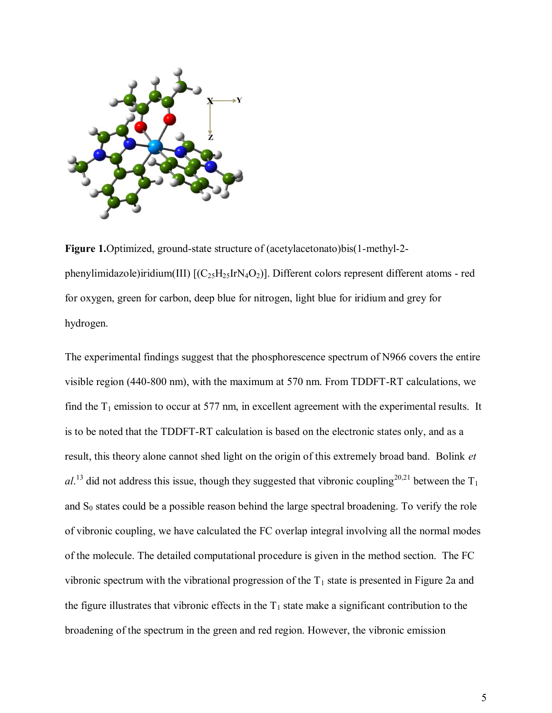

**Figure 1.**Optimized, ground-state structure of (acetylacetonato)bis(1-methyl-2 phenylimidazole)iridium(III)  $[(C_{25}H_{25}IrN_4O_2)]$ . Different colors represent different atoms - red for oxygen, green for carbon, deep blue for nitrogen, light blue for iridium and grey for hydrogen.

The experimental findings suggest that the phosphorescence spectrum of N966 covers the entire visible region (440-800 nm), with the maximum at 570 nm. From TDDFT-RT calculations, we find the  $T_1$  emission to occur at 577 nm, in excellent agreement with the experimental results. It is to be noted that the TDDFT-RT calculation is based on the electronic states only, and as a result, this theory alone cannot shed light on the origin of this extremely broad band. Bolink *et*   $al.^{13}$  did not address this issue, though they suggested that vibronic coupling<sup>20,21</sup> between the T<sub>1</sub> and  $S_0$  states could be a possible reason behind the large spectral broadening. To verify the role of vibronic coupling, we have calculated the FC overlap integral involving all the normal modes of the molecule. The detailed computational procedure is given in the method section. The FC vibronic spectrum with the vibrational progression of the  $T_1$  state is presented in Figure 2a and the figure illustrates that vibronic effects in the  $T_1$  state make a significant contribution to the broadening of the spectrum in the green and red region. However, the vibronic emission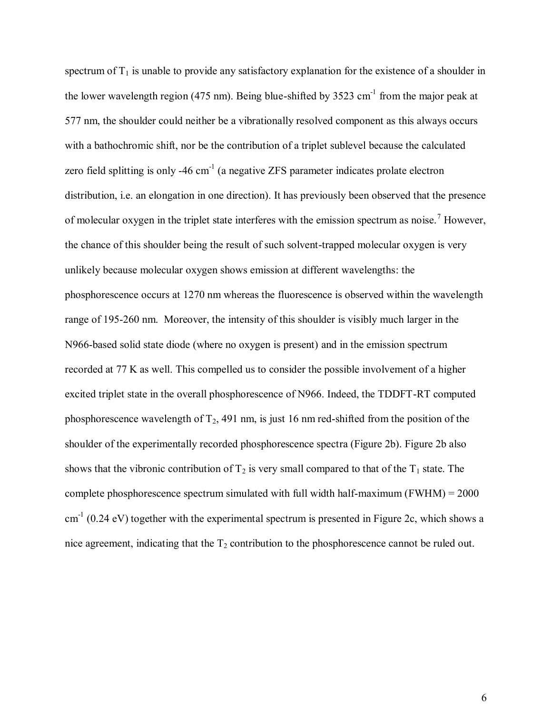spectrum of  $T_1$  is unable to provide any satisfactory explanation for the existence of a shoulder in the lower wavelength region (475 nm). Being blue-shifted by 3523  $cm^{-1}$  from the major peak at 577 nm, the shoulder could neither be a vibrationally resolved component as this always occurs with a bathochromic shift, nor be the contribution of a triplet sublevel because the calculated zero field splitting is only -46  $cm^{-1}$  (a negative ZFS parameter indicates prolate electron distribution, i.e. an elongation in one direction). It has previously been observed that the presence of molecular oxygen in the triplet state interferes with the emission spectrum as noise.<sup>7</sup> However, the chance of this shoulder being the result of such solvent-trapped molecular oxygen is very unlikely because molecular oxygen shows emission at different wavelengths: the phosphorescence occurs at 1270 nm whereas the fluorescence is observed within the wavelength range of 195-260 nm. Moreover, the intensity of this shoulder is visibly much larger in the N966-based solid state diode (where no oxygen is present) and in the emission spectrum recorded at 77 K as well. This compelled us to consider the possible involvement of a higher excited triplet state in the overall phosphorescence of N966. Indeed, the TDDFT-RT computed phosphorescence wavelength of  $T_2$ , 491 nm, is just 16 nm red-shifted from the position of the shoulder of the experimentally recorded phosphorescence spectra (Figure 2b). Figure 2b also shows that the vibronic contribution of  $T_2$  is very small compared to that of the  $T_1$  state. The complete phosphorescence spectrum simulated with full width half-maximum (FWHM) = 2000  $\text{cm}^{-1}$  (0.24 eV) together with the experimental spectrum is presented in Figure 2c, which shows a nice agreement, indicating that the  $T_2$  contribution to the phosphorescence cannot be ruled out.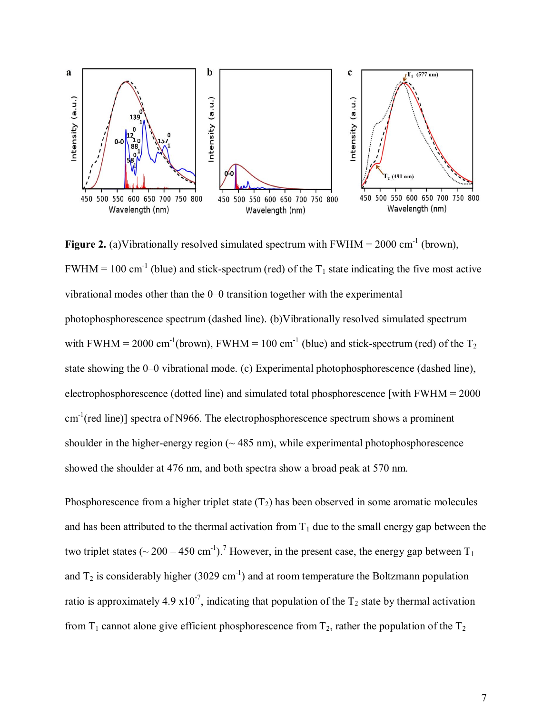

**Figure 2.** (a)Vibrationally resolved simulated spectrum with  $FWHM = 2000 \text{ cm}^{-1}$  (brown),  $FWHM = 100 \text{ cm}^{-1}$  (blue) and stick-spectrum (red) of the  $T_1$  state indicating the five most active vibrational modes other than the 0–0 transition together with the experimental photophosphorescence spectrum (dashed line). (b)Vibrationally resolved simulated spectrum with FWHM = 2000 cm<sup>-1</sup>(brown), FWHM = 100 cm<sup>-1</sup> (blue) and stick-spectrum (red) of the T<sub>2</sub> state showing the 0–0 vibrational mode. (c) Experimental photophosphorescence (dashed line), electrophosphorescence (dotted line) and simulated total phosphorescence [with FWHM = 2000  $cm^{-1}$ (red line)] spectra of N966. The electrophosphorescence spectrum shows a prominent shoulder in the higher-energy region  $($   $\sim$  485 nm), while experimental photophosphorescence showed the shoulder at 476 nm, and both spectra show a broad peak at 570 nm.

Phosphorescence from a higher triplet state  $(T_2)$  has been observed in some aromatic molecules and has been attributed to the thermal activation from  $T_1$  due to the small energy gap between the two triplet states ( $\sim$  200 – 450 cm<sup>-1</sup>).<sup>7</sup> However, in the present case, the energy gap between T<sub>1</sub> and  $T_2$  is considerably higher (3029 cm<sup>-1</sup>) and at room temperature the Boltzmann population ratio is approximately 4.9  $x10^{-7}$ , indicating that population of the T<sub>2</sub> state by thermal activation from  $T_1$  cannot alone give efficient phosphorescence from  $T_2$ , rather the population of the  $T_2$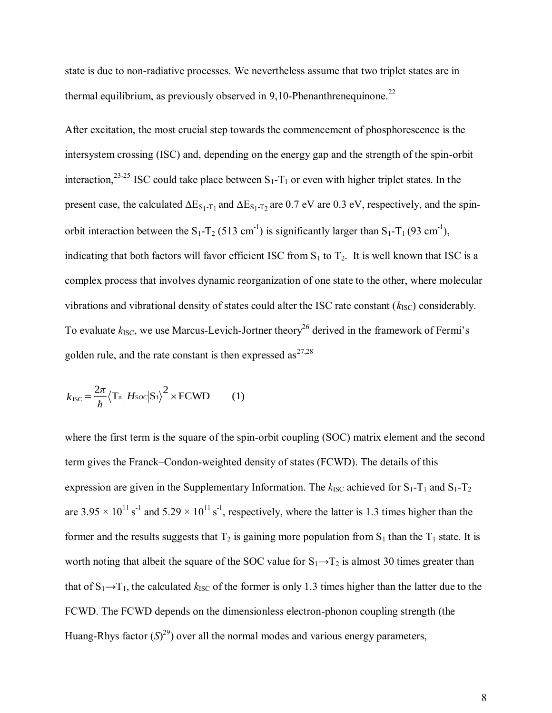state is due to non-radiative processes. We nevertheless assume that two triplet states are in thermal equilibrium, as previously observed in 9,10-Phenanthrenequinone.<sup>22</sup>

After excitation, the most crucial step towards the commencement of phosphorescence is the intersystem crossing (ISC) and, depending on the energy gap and the strength of the spin-orbit interaction,<sup>23-25</sup> ISC could take place between  $S_1-T_1$  or even with higher triplet states. In the present case, the calculated  $\Delta E_{S_1-T_1}$  and  $\Delta E_{S_1-T_2}$  are 0.7 eV are 0.3 eV, respectively, and the spinorbit interaction between the S<sub>1</sub>-T<sub>2</sub> (513 cm<sup>-1</sup>) is significantly larger than S<sub>1</sub>-T<sub>1</sub> (93 cm<sup>-1</sup>), indicating that both factors will favor efficient ISC from  $S_1$  to  $T_2$ . It is well known that ISC is a complex process that involves dynamic reorganization of one state to the other, where molecular vibrations and vibrational density of states could alter the ISC rate constant  $(k_{\text{ISC}})$  considerably. To evaluate  $k_{\text{ISC}}$ , we use Marcus-Levich-Jortner theory<sup>26</sup> derived in the framework of Fermi's golden rule, and the rate constant is then expressed as $^{27,28}$ 

$$
k_{\rm{ISC}} = \frac{2\pi}{\hbar} \left\langle \mathbf{T}_{\rm{n}} \right| H \, \text{soc} \left| \mathbf{S}_{\rm{1}} \right\rangle^{2} \times \text{FCWD} \tag{1}
$$

where the first term is the square of the spin-orbit coupling (SOC) matrix element and the second term gives the Franck–Condon-weighted density of states (FCWD). The details of this expression are given in the Supplementary Information. The  $k_{\text{ISC}}$  achieved for  $S_1 - T_1$  and  $S_1 - T_2$ are  $3.95 \times 10^{11}$  s<sup>-1</sup> and  $5.29 \times 10^{11}$  s<sup>-1</sup>, respectively, where the latter is 1.3 times higher than the former and the results suggests that  $T_2$  is gaining more population from  $S_1$  than the  $T_1$  state. It is worth noting that albeit the square of the SOC value for  $S_1 \rightarrow T_2$  is almost 30 times greater than that of  $S_1 \rightarrow T_1$ , the calculated  $k_{\text{ISC}}$  of the former is only 1.3 times higher than the latter due to the FCWD. The FCWD depends on the dimensionless electron-phonon coupling strength (the Huang-Rhys factor  $(S)^{29}$ ) over all the normal modes and various energy parameters,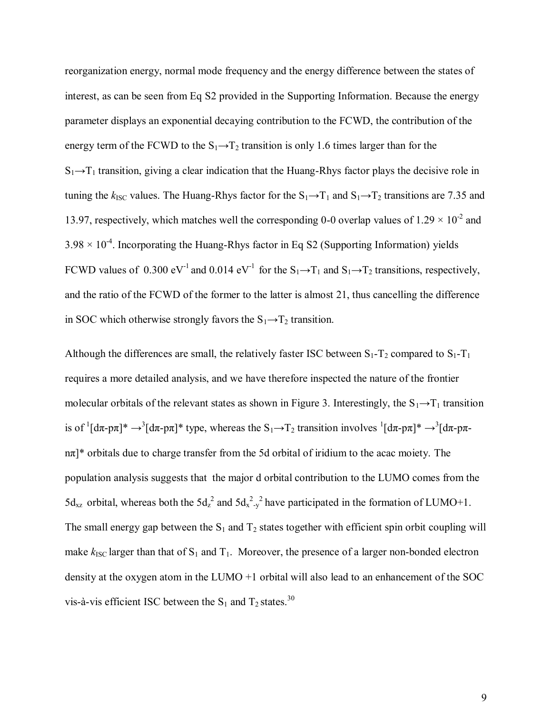reorganization energy, normal mode frequency and the energy difference between the states of interest, as can be seen from Eq S2 provided in the Supporting Information. Because the energy parameter displays an exponential decaying contribution to the FCWD, the contribution of the energy term of the FCWD to the  $S_1 \rightarrow T_2$  transition is only 1.6 times larger than for the  $S_1 \rightarrow T_1$  transition, giving a clear indication that the Huang-Rhys factor plays the decisive role in tuning the  $k_{\text{ISC}}$  values. The Huang-Rhys factor for the  $S_1 \rightarrow T_1$  and  $S_1 \rightarrow T_2$  transitions are 7.35 and 13.97, respectively, which matches well the corresponding 0-0 overlap values of  $1.29 \times 10^{-2}$  and  $3.98 \times 10^{-4}$ . Incorporating the Huang-Rhys factor in Eq S2 (Supporting Information) yields FCWD values of 0.300 eV<sup>-1</sup> and 0.014 eV<sup>-1</sup> for the  $S_1 \rightarrow T_1$  and  $S_1 \rightarrow T_2$  transitions, respectively, and the ratio of the FCWD of the former to the latter is almost 21, thus cancelling the difference in SOC which otherwise strongly favors the  $S_1 \rightarrow T_2$  transition.

Although the differences are small, the relatively faster ISC between  $S_1$ -T<sub>2</sub> compared to  $S_1$ -T<sub>1</sub> requires a more detailed analysis, and we have therefore inspected the nature of the frontier molecular orbitals of the relevant states as shown in Figure 3. Interestingly, the  $S_1 \rightarrow T_1$  transition is of  $1[d\pi$ -p $\pi]^* \to 3[d\pi$ -p $\pi]^*$  type, whereas the S<sub>1</sub> $\to$ T<sub>2</sub> transition involves  $1[d\pi$ -p $\pi]^* \to 3[d\pi$ -p $\pi$ nπ]\* orbitals due to charge transfer from the 5d orbital of iridium to the acac moiety. The population analysis suggests that the major d orbital contribution to the LUMO comes from the  $5d_{xz}$  orbital, whereas both the  $5d_{z}^{2}$  and  $5d_{x}^{2}$ , <sup>2</sup> have participated in the formation of LUMO+1. The small energy gap between the  $S_1$  and  $T_2$  states together with efficient spin orbit coupling will make  $k_{\text{ISC}}$  larger than that of  $S_1$  and  $T_1$ . Moreover, the presence of a larger non-bonded electron density at the oxygen atom in the LUMO +1 orbital will also lead to an enhancement of the SOC vis-à-vis efficient ISC between the  $S_1$  and  $T_2$  states.<sup>30</sup>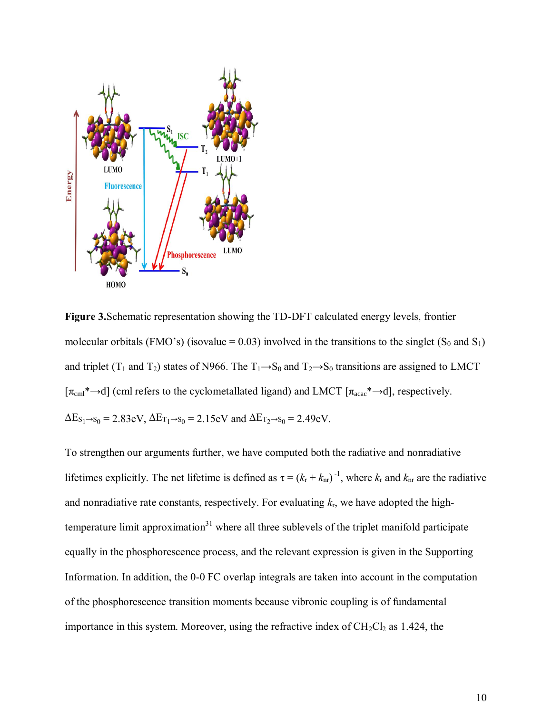

**Figure 3.**Schematic representation showing the TD-DFT calculated energy levels, frontier molecular orbitals (FMO's) (isovalue = 0.03) involved in the transitions to the singlet (S<sub>0</sub> and S<sub>1</sub>) and triplet (T<sub>1</sub> and T<sub>2</sub>) states of N966. The T<sub>1</sub>→S<sub>0</sub> and T<sub>2</sub>→S<sub>0</sub> transitions are assigned to LMCT  $[\pi_{\text{cml}}^* \rightarrow d]$  (cml refers to the cyclometallated ligand) and LMCT  $[\pi_{\text{acc}}^* \rightarrow d]$ , respectively.  $\Delta E_{S_1\rightarrow S_0} = 2.83$ eV,  $\Delta E_{T_1\rightarrow S_0} = 2.15$ eV and  $\Delta E_{T_2\rightarrow S_0} = 2.49$ eV.

To strengthen our arguments further, we have computed both the radiative and nonradiative lifetimes explicitly. The net lifetime is defined as  $\tau = (k_r + k_{nr})^{-1}$ , where  $k_r$  and  $k_{nr}$  are the radiative and nonradiative rate constants, respectively. For evaluating  $k_{r}$ , we have adopted the hightemperature limit approximation $31$  where all three sublevels of the triplet manifold participate equally in the phosphorescence process, and the relevant expression is given in the Supporting Information. In addition, the 0-0 FC overlap integrals are taken into account in the computation of the phosphorescence transition moments because vibronic coupling is of fundamental importance in this system. Moreover, using the refractive index of  $CH_2Cl_2$  as 1.424, the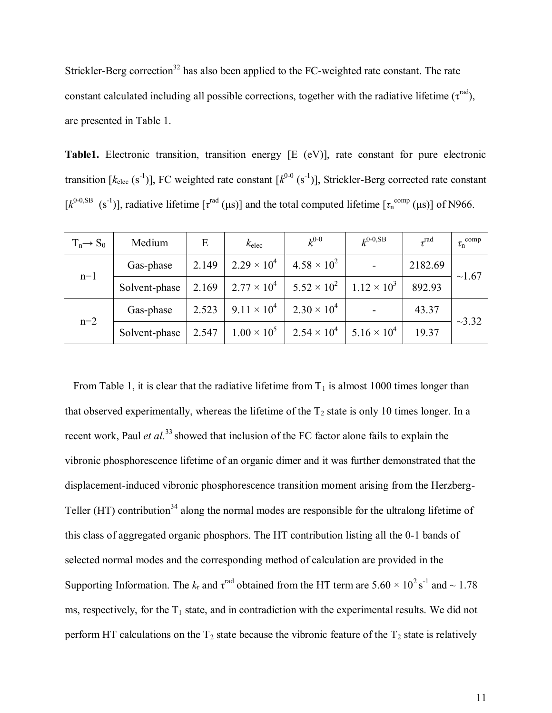Strickler-Berg correction<sup>32</sup> has also been applied to the FC-weighted rate constant. The rate constant calculated including all possible corrections, together with the radiative lifetime ( $\tau^{\text{rad}}$ ), are presented in Table 1.

**Table1.** Electronic transition, transition energy [E (eV)], rate constant for pure electronic transition  $[k_{elec} (s<sup>-1</sup>)]$ , FC weighted rate constant  $[k<sup>0-0</sup> (s<sup>-1</sup>)]$ , Strickler-Berg corrected rate constant  $[k^{0.0,SB} (s<sup>-1</sup>)]$ , radiative lifetime  $[\tau^{\text{rad}}(\mu s)]$  and the total computed lifetime  $[\tau^{\text{comp}}_n(\mu s)]$  of N966.

| $T_n \rightarrow S_0$ | Medium        | E     | $k_{\text{elec}}$    | $k^{0-0}$            | $k^{0.0,SB}$         | $\tau^{\text{rad}}$ | $\tau_n^{\text{comp}}$ |
|-----------------------|---------------|-------|----------------------|----------------------|----------------------|---------------------|------------------------|
| $n=1$                 | Gas-phase     | 2.149 | $2.29 \times 10^{4}$ | $4.58 \times 10^{2}$ |                      | 2182.69             | ~1.67                  |
|                       | Solvent-phase | 2.169 | $2.77 \times 10^4$   | $5.52 \times 10^{2}$ | $1.12 \times 10^3$   | 892.93              |                        |
| $n=2$                 | Gas-phase     | 2.523 | $9.11 \times 10^{4}$ | $2.30 \times 10^{4}$ |                      | 43.37               | $-3.32$                |
|                       | Solvent-phase | 2.547 | $1.00 \times 10^{5}$ | $2.54 \times 10^4$   | $5.16 \times 10^{4}$ | 19.37               |                        |

From Table 1, it is clear that the radiative lifetime from  $T_1$  is almost 1000 times longer than that observed experimentally, whereas the lifetime of the  $T_2$  state is only 10 times longer. In a recent work, Paul *et al.*<sup>33</sup> showed that inclusion of the FC factor alone fails to explain the vibronic phosphorescence lifetime of an organic dimer and it was further demonstrated that the displacement-induced vibronic phosphorescence transition moment arising from the Herzberg-Teller (HT) contribution<sup>34</sup> along the normal modes are responsible for the ultralong lifetime of this class of aggregated organic phosphors. The HT contribution listing all the 0-1 bands of selected normal modes and the corresponding method of calculation are provided in the Supporting Information. The  $k_r$  and  $\tau^{\text{rad}}$  obtained from the HT term are  $5.60 \times 10^2 \text{ s}^{-1}$  and  $\sim 1.78$ ms, respectively, for the  $T_1$  state, and in contradiction with the experimental results. We did not perform HT calculations on the  $T_2$  state because the vibronic feature of the  $T_2$  state is relatively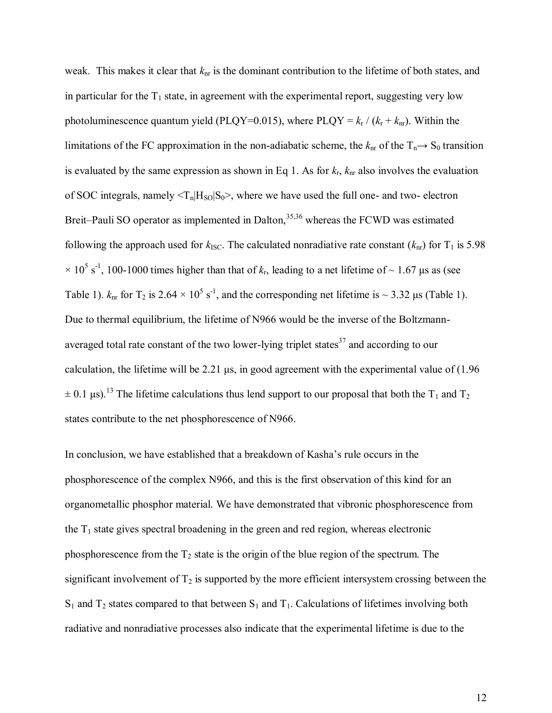weak. This makes it clear that  $k_{nr}$  is the dominant contribution to the lifetime of both states, and in particular for the  $T_1$  state, in agreement with the experimental report, suggesting very low photoluminescence quantum yield (PLQY=0.015), where PLQY =  $k_r / (k_r + k_{nr})$ . Within the limitations of the FC approximation in the non-adiabatic scheme, the  $k_{nr}$  of the  $T_n \rightarrow S_0$  transition is evaluated by the same expression as shown in Eq 1. As for  $k_r$ ,  $k_{nr}$  also involves the evaluation of SOC integrals, namely  $\langle T_n|H_{\text{SO}}|S_0\rangle$ , where we have used the full one- and two- electron Breit–Pauli SO operator as implemented in Dalton, $35,36$  whereas the FCWD was estimated following the approach used for  $k_{\text{ISC}}$ . The calculated nonradiative rate constant  $(k_{\text{nr}})$  for T<sub>1</sub> is 5.98  $\times$  10<sup>5</sup> s<sup>-1</sup>, 100-1000 times higher than that of  $k_r$ , leading to a net lifetime of ~ 1.67 µs as (see Table 1).  $k_{nr}$  for T<sub>2</sub> is 2.64  $\times$  10<sup>5</sup> s<sup>-1</sup>, and the corresponding net lifetime is  $\sim$  3.32 µs (Table 1). Due to thermal equilibrium, the lifetime of N966 would be the inverse of the Boltzmannaveraged total rate constant of the two lower-lying triplet states<sup>37</sup> and according to our calculation, the lifetime will be 2.21 μs, in good agreement with the experimental value of (1.96  $\pm$  0.1 μs).<sup>13</sup> The lifetime calculations thus lend support to our proposal that both the T<sub>1</sub> and T<sub>2</sub> states contribute to the net phosphorescence of N966.

In conclusion, we have established that a breakdown of Kasha's rule occurs in the phosphorescence of the complex N966, and this is the first observation of this kind for an organometallic phosphor material. We have demonstrated that vibronic phosphorescence from the  $T_1$  state gives spectral broadening in the green and red region, whereas electronic phosphorescence from the  $T_2$  state is the origin of the blue region of the spectrum. The significant involvement of  $T_2$  is supported by the more efficient intersystem crossing between the  $S_1$  and  $T_2$  states compared to that between  $S_1$  and  $T_1$ . Calculations of lifetimes involving both radiative and nonradiative processes also indicate that the experimental lifetime is due to the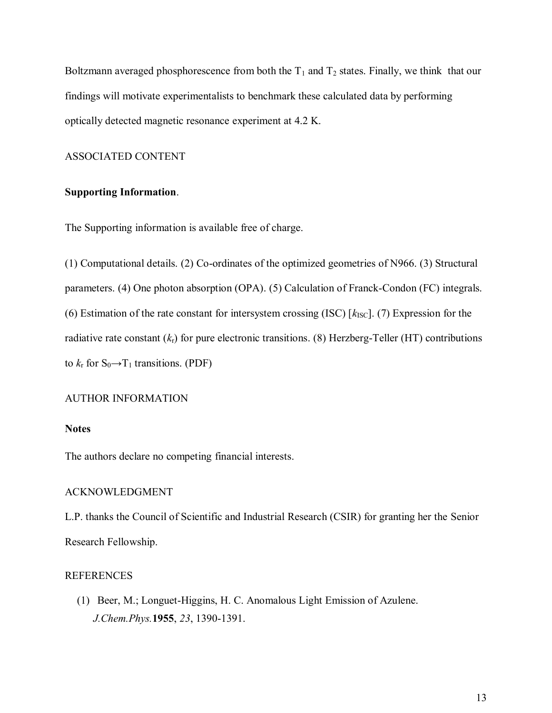Boltzmann averaged phosphorescence from both the  $T_1$  and  $T_2$  states. Finally, we think that our findings will motivate experimentalists to benchmark these calculated data by performing optically detected magnetic resonance experiment at 4.2 K.

### ASSOCIATED CONTENT

### **Supporting Information**.

The Supporting information is available free of charge.

(1) Computational details. (2) Co-ordinates of the optimized geometries of N966. (3) Structural parameters. (4) One photon absorption (OPA). (5) Calculation of Franck-Condon (FC) integrals. (6) Estimation of the rate constant for intersystem crossing (ISC)  $[k_{\text{ISC}}]$ . (7) Expression for the radiative rate constant (*k*r) for pure electronic transitions. (8) Herzberg-Teller (HT) contributions to  $k_r$  for  $S_0 \rightarrow T_1$  transitions. (PDF)

#### AUTHOR INFORMATION

#### **Notes**

The authors declare no competing financial interests.

#### ACKNOWLEDGMENT

L.P. thanks the Council of Scientific and Industrial Research (CSIR) for granting her the Senior Research Fellowship.

### REFERENCES

(1) Beer, M.; Longuet-Higgins, H. C. Anomalous Light Emission of Azulene. *J.Chem.Phys.***1955**, *23*, 1390-1391.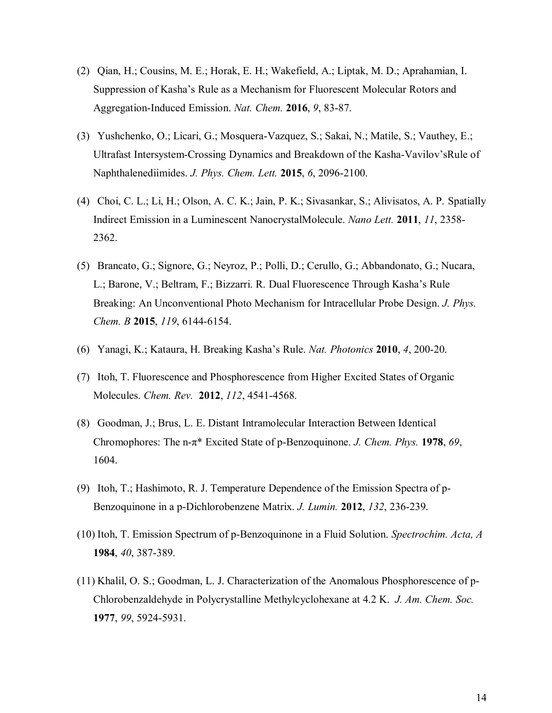- (2) Qian, H.; Cousins, M. E.; Horak, E. H.; Wakefield, A.; Liptak, M. D.; Aprahamian, I. Suppression of Kasha's Rule as a Mechanism for Fluorescent Molecular Rotors and Aggregation-Induced Emission. *Nat. Chem.* **2016**, *9*, 83-87.
- (3) Yushchenko, O.; Licari, G.; Mosquera-Vazquez, S.; Sakai, N.; Matile, S.; Vauthey, E.; Ultrafast Intersystem-Crossing Dynamics and Breakdown of the Kasha-Vavilov'sRule of Naphthalenediimides. *J. Phys. Chem. Lett.* **2015**, *6*, 2096-2100.
- (4) Choi, C. L.; Li, H.; Olson, A. C. K.; Jain, P. K.; Sivasankar, S.; Alivisatos, A. P. Spatially Indirect Emission in a Luminescent NanocrystalMolecule. *Nano Lett.* **2011**, *11*, 2358- 2362.
- (5) Brancato, G.; Signore, G.; Neyroz, P.; Polli, D.; Cerullo, G.; Abbandonato, G.; Nucara, L.; Barone, V.; Beltram, F.; Bizzarri. R. Dual Fluorescence Through Kasha's Rule Breaking: An Unconventional Photo Mechanism for Intracellular Probe Design. *J. Phys. Chem. B* **2015**, *119*, 6144-6154.
- (6) Yanagi, K.; Kataura, H. Breaking Kasha's Rule. *Nat. Photonics* **2010**, *4*, 200-20.
- (7) Itoh, T. Fluorescence and Phosphorescence from Higher Excited States of Organic Molecules. *Chem. Rev.* **2012**, *112*, 4541-4568.
- (8) Goodman, J.; Brus, L. E. Distant Intramolecular Interaction Between Identical Chromophores: The n-π\* Excited State of p-Benzoquinone. *J. Chem. Phys.* **1978**, *69*, 1604.
- (9) Itoh, T.; Hashimoto, R. J. Temperature Dependence of the Emission Spectra of p-Benzoquinone in a p-Dichlorobenzene Matrix. *J. Lumin.* **2012**, *132*, 236-239.
- (10) Itoh, T. Emission Spectrum of p-Benzoquinone in a Fluid Solution. *Spectrochim. Acta, A* **1984**, *40*, 387-389.
- (11) Khalil, O. S.; Goodman, L. J. Characterization of the Anomalous Phosphorescence of p-Chlorobenzaldehyde in Polycrystalline Methylcyclohexane at 4.2 K. *J. Am. Chem. Soc.* **1977**, *99*, 5924-5931.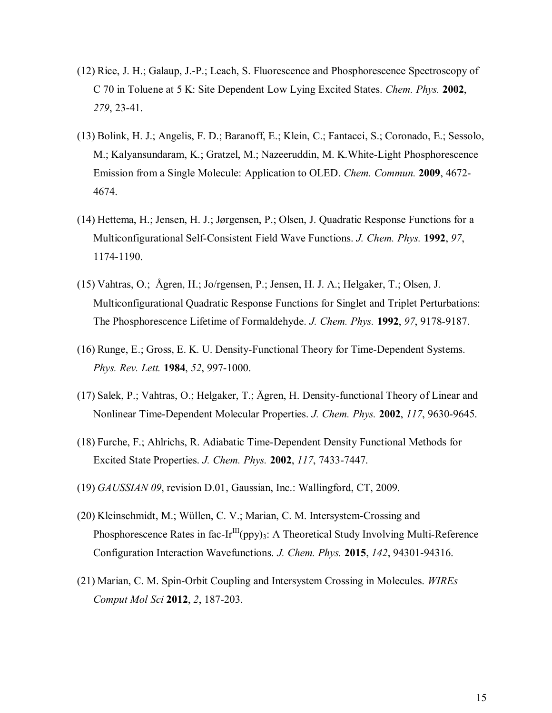- (12) Rice, J. H.; Galaup, J.-P.; Leach, S. Fluorescence and Phosphorescence Spectroscopy of C 70 in Toluene at 5 K: Site Dependent Low Lying Excited States. *Chem. Phys.* **2002**, *279*, 23-41.
- (13) Bolink, H. J.; Angelis, F. D.; Baranoff, E.; Klein, C.; Fantacci, S.; Coronado, E.; Sessolo, M.; Kalyansundaram, K.; Gratzel, M.; Nazeeruddin, M. K.White-Light Phosphorescence Emission from a Single Molecule: Application to OLED. *Chem. Commun.* **2009**, 4672- 4674.
- (14) Hettema, H.; Jensen, H. J.; Jørgensen, P.; Olsen, J. Quadratic Response Functions for a Multiconfigurational Self-Consistent Field Wave Functions. *J. Chem. Phys.* **1992**, *97*, 1174-1190.
- (15) Vahtras, O.; Ågren, H.; Jo/rgensen, P.; Jensen, H. J. A.; Helgaker, T.; Olsen, J. Multiconfigurational Quadratic Response Functions for Singlet and Triplet Perturbations: The Phosphorescence Lifetime of Formaldehyde. *J. Chem. Phys.* **1992**, *97*, 9178-9187.
- (16) Runge, E.; Gross, E. K. U. Density-Functional Theory for Time-Dependent Systems. *Phys. Rev. Lett.* **1984**, *52*, 997-1000.
- (17) Salek, P.; Vahtras, O.; Helgaker, T.; Ågren, H. Density-functional Theory of Linear and Nonlinear Time-Dependent Molecular Properties. *J. Chem. Phys.* **2002**, *117*, 9630-9645.
- (18) Furche, F.; Ahlrichs, R. Adiabatic Time-Dependent Density Functional Methods for Excited State Properties. *J. Chem. Phys.* **2002**, *117*, 7433-7447.
- (19) *GAUSSIAN 09*, revision D.01, Gaussian, Inc.: Wallingford, CT, 2009.
- (20) Kleinschmidt, M.; Wüllen, C. V.; Marian, C. M. Intersystem-Crossing and Phosphorescence Rates in fac-Ir<sup>III</sup>(ppy)<sub>3</sub>: A Theoretical Study Involving Multi-Reference Configuration Interaction Wavefunctions. *J. Chem. Phys.* **2015**, *142*, 94301-94316.
- (21) Marian, C. M. Spin-Orbit Coupling and Intersystem Crossing in Molecules. *WIREs Comput Mol Sci* **2012**, *2*, 187-203.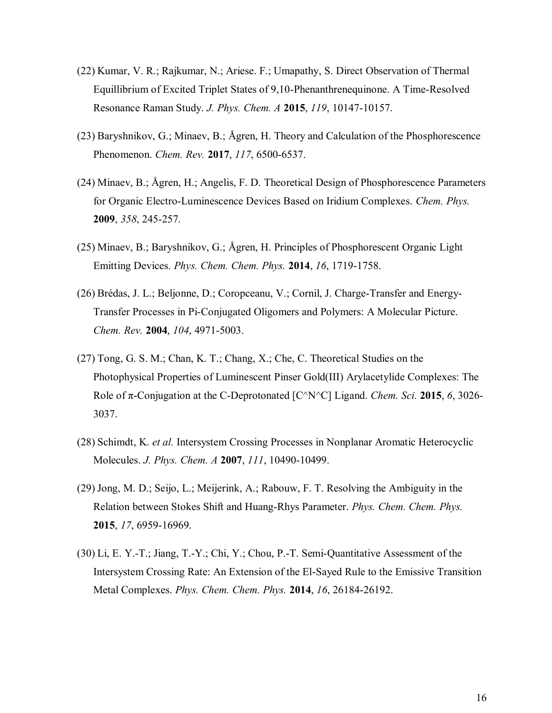- (22) Kumar, V. R.; Rajkumar, N.; Ariese. F.; Umapathy, S. Direct Observation of Thermal Equillibrium of Excited Triplet States of 9,10-Phenanthrenequinone. A Time-Resolved Resonance Raman Study. *J. Phys. Chem. A* **2015**, *119*, 10147-10157.
- (23) Baryshnikov, G.; Minaev, B.; Ågren, H. Theory and Calculation of the Phosphorescence Phenomenon. *Chem. Rev.* **2017**, *117*, 6500-6537.
- (24) Minaev, B.; Ågren, H.; Angelis, F. D. Theoretical Design of Phosphorescence Parameters for Organic Electro-Luminescence Devices Based on Iridium Complexes. *Chem. Phys.*  **2009**, *358*, 245-257.
- (25) Minaev, B.; Baryshnikov, G.; Ågren, H. Principles of Phosphorescent Organic Light Emitting Devices. *Phys. Chem. Chem. Phys.* **2014**, *16*, 1719-1758.
- (26) Brédas, J. L.; Beljonne, D.; Coropceanu, V.; Cornil, J. Charge-Transfer and Energy-Transfer Processes in Pi-Conjugated Oligomers and Polymers: A Molecular Picture. *Chem. Rev.* **2004**, *104*, 4971-5003.
- (27) Tong, G. S. M.; Chan, K. T.; Chang, X.; Che, C. Theoretical Studies on the Photophysical Properties of Luminescent Pinser Gold(III) Arylacetylide Complexes: The Role of π-Conjugation at the C-Deprotonated [C^N^C] Ligand. *Chem. Sci.* **2015**, *6*, 3026- 3037.
- (28) Schimdt, K. *et al.* Intersystem Crossing Processes in Nonplanar Aromatic Heterocyclic Molecules. *J. Phys. Chem. A* **2007**, *111*, 10490-10499.
- (29) Jong, M. D.; Seijo, L.; Meijerink, A.; Rabouw, F. T. Resolving the Ambiguity in the Relation between Stokes Shift and Huang-Rhys Parameter. *Phys. Chem. Chem. Phys.* **2015**, *17*, 6959-16969.
- (30) Li, E. Y.-T.; Jiang, T.-Y.; Chi, Y.; Chou, P.-T. Semi-Quantitative Assessment of the Intersystem Crossing Rate: An Extension of the El-Sayed Rule to the Emissive Transition Metal Complexes. *Phys. Chem. Chem. Phys.* **2014**, *16*, 26184-26192.